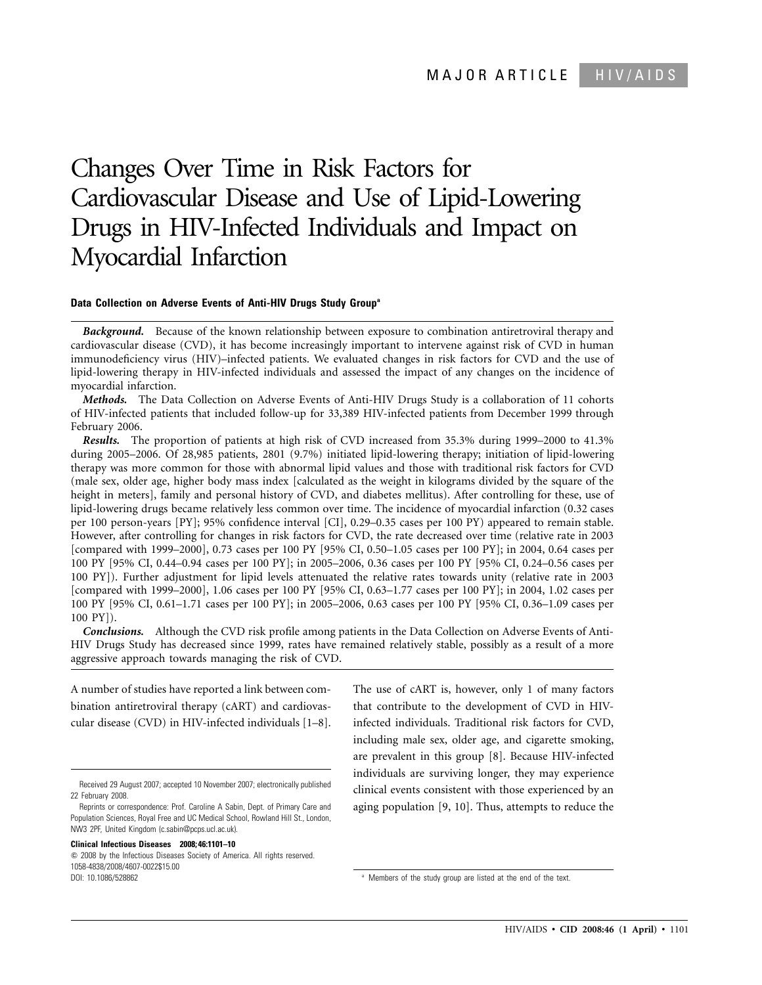# Changes Over Time in Risk Factors for Cardiovascular Disease and Use of Lipid-Lowering Drugs in HIV-Infected Individuals and Impact on Myocardial Infarction

#### **Data Collection on Adverse Events of Anti-HIV Drugs Study Group<sup>a</sup>**

*Background.* Because of the known relationship between exposure to combination antiretroviral therapy and cardiovascular disease (CVD), it has become increasingly important to intervene against risk of CVD in human immunodeficiency virus (HIV)–infected patients. We evaluated changes in risk factors for CVD and the use of lipid-lowering therapy in HIV-infected individuals and assessed the impact of any changes on the incidence of myocardial infarction.

*Methods.* The Data Collection on Adverse Events of Anti-HIV Drugs Study is a collaboration of 11 cohorts of HIV-infected patients that included follow-up for 33,389 HIV-infected patients from December 1999 through February 2006.

*Results.* The proportion of patients at high risk of CVD increased from 35.3% during 1999–2000 to 41.3% during 2005–2006. Of 28,985 patients, 2801 (9.7%) initiated lipid-lowering therapy; initiation of lipid-lowering therapy was more common for those with abnormal lipid values and those with traditional risk factors for CVD (male sex, older age, higher body mass index [calculated as the weight in kilograms divided by the square of the height in meters], family and personal history of CVD, and diabetes mellitus). After controlling for these, use of lipid-lowering drugs became relatively less common over time. The incidence of myocardial infarction (0.32 cases per 100 person-years [PY]; 95% confidence interval [CI], 0.29–0.35 cases per 100 PY) appeared to remain stable. However, after controlling for changes in risk factors for CVD, the rate decreased over time (relative rate in 2003 [compared with 1999–2000], 0.73 cases per 100 PY [95% CI, 0.50–1.05 cases per 100 PY]; in 2004, 0.64 cases per 100 PY [95% CI, 0.44–0.94 cases per 100 PY]; in 2005–2006, 0.36 cases per 100 PY [95% CI, 0.24–0.56 cases per 100 PY]). Further adjustment for lipid levels attenuated the relative rates towards unity (relative rate in 2003 [compared with 1999–2000], 1.06 cases per 100 PY [95% CI, 0.63–1.77 cases per 100 PY]; in 2004, 1.02 cases per 100 PY [95% CI, 0.61–1.71 cases per 100 PY]; in 2005–2006, 0.63 cases per 100 PY [95% CI, 0.36–1.09 cases per 100 PY]).

*Conclusions.* Although the CVD risk profile among patients in the Data Collection on Adverse Events of Anti-HIV Drugs Study has decreased since 1999, rates have remained relatively stable, possibly as a result of a more aggressive approach towards managing the risk of CVD.

A number of studies have reported a link between combination antiretroviral therapy (cART) and cardiovascular disease (CVD) in HIV-infected individuals [1–8].

**Clinical Infectious Diseases 2008; 46:1101–10**

 $\degree$  2008 by the Infectious Diseases Society of America. All rights reserved. 1058-4838/2008/4607-0022\$15.00 DOI: 10.1086/528862

The use of cART is, however, only 1 of many factors that contribute to the development of CVD in HIVinfected individuals. Traditional risk factors for CVD, including male sex, older age, and cigarette smoking, are prevalent in this group [8]. Because HIV-infected individuals are surviving longer, they may experience clinical events consistent with those experienced by an aging population [9, 10]. Thus, attempts to reduce the

<sup>a</sup> Members of the study group are listed at the end of the text.

Received 29 August 2007; accepted 10 November 2007; electronically published 22 February 2008.

Reprints or correspondence: Prof. Caroline A Sabin, Dept. of Primary Care and Population Sciences, Royal Free and UC Medical School, Rowland Hill St., London, NW3 2PF, United Kingdom (c.sabin@pcps.ucl.ac.uk).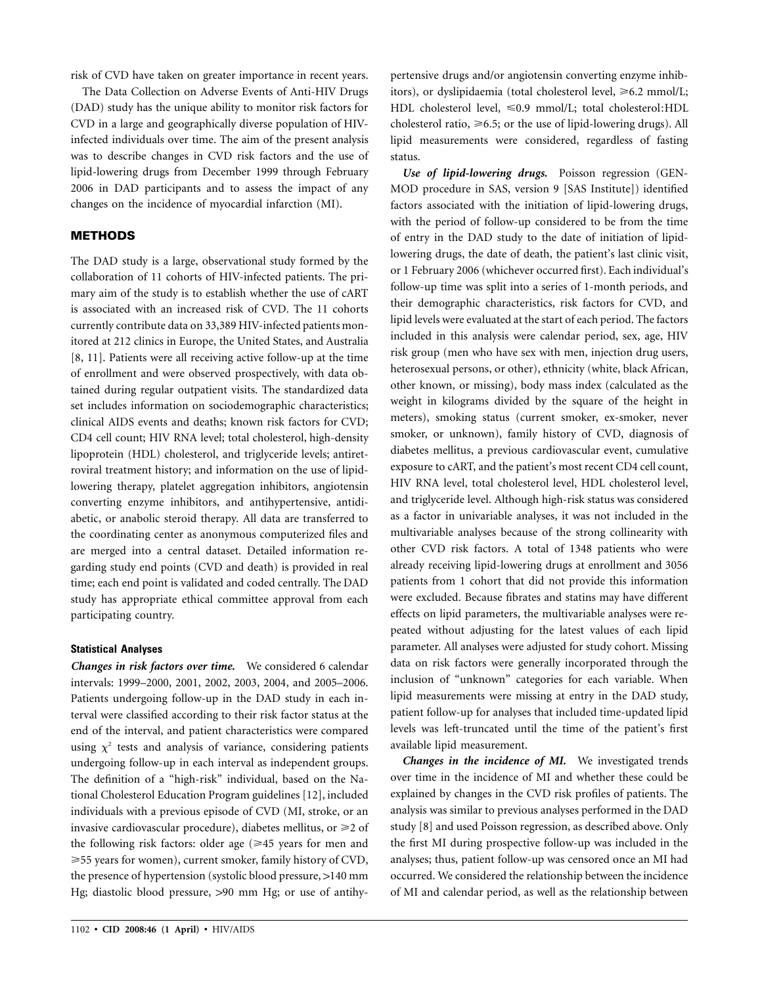risk of CVD have taken on greater importance in recent years.

The Data Collection on Adverse Events of Anti-HIV Drugs (DAD) study has the unique ability to monitor risk factors for CVD in a large and geographically diverse population of HIVinfected individuals over time. The aim of the present analysis was to describe changes in CVD risk factors and the use of lipid-lowering drugs from December 1999 through February 2006 in DAD participants and to assess the impact of any changes on the incidence of myocardial infarction (MI).

## **METHODS**

The DAD study is a large, observational study formed by the collaboration of 11 cohorts of HIV-infected patients. The primary aim of the study is to establish whether the use of cART is associated with an increased risk of CVD. The 11 cohorts currently contribute data on 33,389 HIV-infected patients monitored at 212 clinics in Europe, the United States, and Australia [8, 11]. Patients were all receiving active follow-up at the time of enrollment and were observed prospectively, with data obtained during regular outpatient visits. The standardized data set includes information on sociodemographic characteristics; clinical AIDS events and deaths; known risk factors for CVD; CD4 cell count; HIV RNA level; total cholesterol, high-density lipoprotein (HDL) cholesterol, and triglyceride levels; antiretroviral treatment history; and information on the use of lipidlowering therapy, platelet aggregation inhibitors, angiotensin converting enzyme inhibitors, and antihypertensive, antidiabetic, or anabolic steroid therapy. All data are transferred to the coordinating center as anonymous computerized files and are merged into a central dataset. Detailed information regarding study end points (CVD and death) is provided in real time; each end point is validated and coded centrally. The DAD study has appropriate ethical committee approval from each participating country.

## **Statistical Analyses**

*Changes in risk factors over time.* We considered 6 calendar intervals: 1999–2000, 2001, 2002, 2003, 2004, and 2005–2006. Patients undergoing follow-up in the DAD study in each interval were classified according to their risk factor status at the end of the interval, and patient characteristics were compared using  $\chi^2$  tests and analysis of variance, considering patients undergoing follow-up in each interval as independent groups. The definition of a "high-risk" individual, based on the National Cholesterol Education Program guidelines [12], included individuals with a previous episode of CVD (MI, stroke, or an invasive cardiovascular procedure), diabetes mellitus, or  $\geq 2$  of the following risk factors: older age  $(\geq 45)$  years for men and 55 years for women), current smoker, family history of CVD, the presence of hypertension (systolic blood pressure, >140 mm Hg; diastolic blood pressure, >90 mm Hg; or use of antihypertensive drugs and/or angiotensin converting enzyme inhibitors), or dyslipidaemia (total cholesterol level,  $\geq 6.2$  mmol/L; HDL cholesterol level, <0.9 mmol/L; total cholesterol:HDL cholesterol ratio,  $\geq 6.5$ ; or the use of lipid-lowering drugs). All lipid measurements were considered, regardless of fasting status.

*Use of lipid-lowering drugs.* Poisson regression (GEN-MOD procedure in SAS, version 9 [SAS Institute]) identified factors associated with the initiation of lipid-lowering drugs, with the period of follow-up considered to be from the time of entry in the DAD study to the date of initiation of lipidlowering drugs, the date of death, the patient's last clinic visit, or 1 February 2006 (whichever occurred first). Each individual's follow-up time was split into a series of 1-month periods, and their demographic characteristics, risk factors for CVD, and lipid levels were evaluated at the start of each period. The factors included in this analysis were calendar period, sex, age, HIV risk group (men who have sex with men, injection drug users, heterosexual persons, or other), ethnicity (white, black African, other known, or missing), body mass index (calculated as the weight in kilograms divided by the square of the height in meters), smoking status (current smoker, ex-smoker, never smoker, or unknown), family history of CVD, diagnosis of diabetes mellitus, a previous cardiovascular event, cumulative exposure to cART, and the patient's most recent CD4 cell count, HIV RNA level, total cholesterol level, HDL cholesterol level, and triglyceride level. Although high-risk status was considered as a factor in univariable analyses, it was not included in the multivariable analyses because of the strong collinearity with other CVD risk factors. A total of 1348 patients who were already receiving lipid-lowering drugs at enrollment and 3056 patients from 1 cohort that did not provide this information were excluded. Because fibrates and statins may have different effects on lipid parameters, the multivariable analyses were repeated without adjusting for the latest values of each lipid parameter. All analyses were adjusted for study cohort. Missing data on risk factors were generally incorporated through the inclusion of "unknown" categories for each variable. When lipid measurements were missing at entry in the DAD study, patient follow-up for analyses that included time-updated lipid levels was left-truncated until the time of the patient's first available lipid measurement.

*Changes in the incidence of MI.* We investigated trends over time in the incidence of MI and whether these could be explained by changes in the CVD risk profiles of patients. The analysis was similar to previous analyses performed in the DAD study [8] and used Poisson regression, as described above. Only the first MI during prospective follow-up was included in the analyses; thus, patient follow-up was censored once an MI had occurred. We considered the relationship between the incidence of MI and calendar period, as well as the relationship between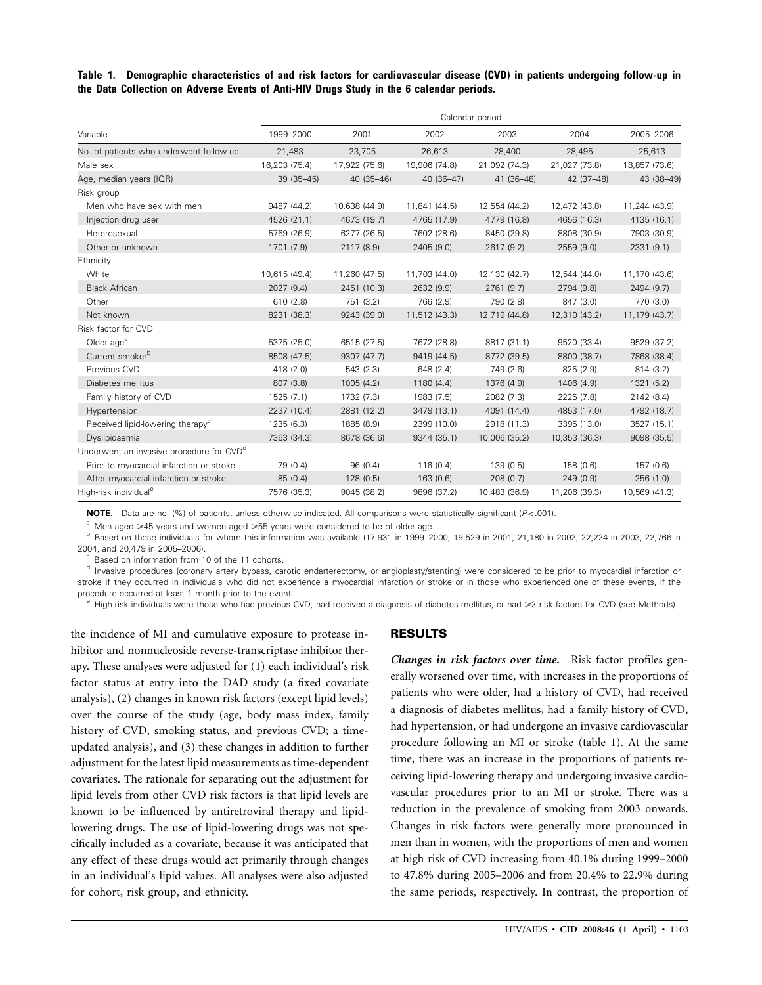**Table 1. Demographic characteristics of and risk factors for cardiovascular disease (CVD) in patients undergoing follow-up in the Data Collection on Adverse Events of Anti-HIV Drugs Study in the 6 calendar periods.**

| Variable                                             | Calendar period |               |               |               |               |               |  |  |
|------------------------------------------------------|-----------------|---------------|---------------|---------------|---------------|---------------|--|--|
|                                                      | 1999-2000       | 2001          | 2002          | 2003          | 2004          | 2005-2006     |  |  |
| No. of patients who underwent follow-up              | 21,483          | 23,705        | 26,613        | 28,400        | 28,495        | 25,613        |  |  |
| Male sex                                             | 16,203 (75.4)   | 17,922 (75.6) | 19,906 (74.8) | 21,092 (74.3) | 21,027 (73.8) | 18,857 (73.6) |  |  |
| Age, median years (IQR)                              | $39(35 - 45)$   | 40 (35-46)    | 40 (36-47)    | 41 (36-48)    | 42 (37-48)    | 43 (38-49)    |  |  |
| Risk group                                           |                 |               |               |               |               |               |  |  |
| Men who have sex with men                            | 9487 (44.2)     | 10.638 (44.9) | 11.841 (44.5) | 12.554 (44.2) | 12,472 (43.8) | 11,244 (43.9) |  |  |
| Injection drug user                                  | 4526 (21.1)     | 4673 (19.7)   | 4765 (17.9)   | 4779 (16.8)   | 4656 (16.3)   | 4135 (16.1)   |  |  |
| Heterosexual                                         | 5769 (26.9)     | 6277 (26.5)   | 7602 (28.6)   | 8450 (29.8)   | 8808 (30.9)   | 7903 (30.9)   |  |  |
| Other or unknown                                     | 1701 (7.9)      | 2117 (8.9)    | 2405 (9.0)    | 2617 (9.2)    | 2559 (9.0)    | 2331 (9.1)    |  |  |
| Ethnicity                                            |                 |               |               |               |               |               |  |  |
| White                                                | 10,615 (49.4)   | 11,260 (47.5) | 11,703 (44.0) | 12,130 (42.7) | 12,544 (44.0) | 11,170 (43.6) |  |  |
| <b>Black African</b>                                 | 2027 (9.4)      | 2451 (10.3)   | 2632 (9.9)    | 2761 (9.7)    | 2794 (9.8)    | 2494 (9.7)    |  |  |
| Other                                                | 610 (2.8)       | 751 (3.2)     | 766 (2.9)     | 790 (2.8)     | 847 (3.0)     | 770 (3.0)     |  |  |
| Not known                                            | 8231 (38.3)     | 9243 (39.0)   | 11,512 (43.3) | 12,719 (44.8) | 12,310 (43.2) | 11,179 (43.7) |  |  |
| Risk factor for CVD                                  |                 |               |               |               |               |               |  |  |
| Older age <sup>a</sup>                               | 5375 (25.0)     | 6515 (27.5)   | 7672 (28.8)   | 8817 (31.1)   | 9520 (33.4)   | 9529 (37.2)   |  |  |
| Current smoker <sup>b</sup>                          | 8508 (47.5)     | 9307 (47.7)   | 9419 (44.5)   | 8772 (39.5)   | 8800 (38.7)   | 7868 (38.4)   |  |  |
| Previous CVD                                         | 418 (2.0)       | 543 (2.3)     | 648 (2.4)     | 749 (2.6)     | 825 (2.9)     | 814 (3.2)     |  |  |
| Diabetes mellitus                                    | 807 (3.8)       | 1005(4.2)     | 1180 (4.4)    | 1376 (4.9)    | 1406 (4.9)    | 1321 (5.2)    |  |  |
| Family history of CVD                                | 1525(7.1)       | 1732 (7.3)    | 1983 (7.5)    | 2082 (7.3)    | 2225 (7.8)    | 2142 (8.4)    |  |  |
| Hypertension                                         | 2237 (10.4)     | 2881 (12.2)   | 3479 (13.1)   | 4091 (14.4)   | 4853 (17.0)   | 4792 (18.7)   |  |  |
| Received lipid-lowering therapy <sup>c</sup>         | 1235 (6.3)      | 1885 (8.9)    | 2399 (10.0)   | 2918 (11.3)   | 3395 (13.0)   | 3527 (15.1)   |  |  |
| Dyslipidaemia                                        | 7363 (34.3)     | 8678 (36.6)   | 9344 (35.1)   | 10,006 (35.2) | 10,353 (36.3) | 9098 (35.5)   |  |  |
| Underwent an invasive procedure for CVD <sup>d</sup> |                 |               |               |               |               |               |  |  |
| Prior to myocardial infarction or stroke             | 79 (0.4)        | 96(0.4)       | 116(0.4)      | 139(0.5)      | 158 (0.6)     | 157 (0.6)     |  |  |
| After myocardial infarction or stroke                | 85(0.4)         | 128(0.5)      | 163(0.6)      | 208(0.7)      | 249(0.9)      | 256 (1.0)     |  |  |
| High-risk individual <sup>e</sup>                    | 7576 (35.3)     | 9045 (38.2)   | 9896 (37.2)   | 10,483 (36.9) | 11,206 (39.3) | 10,569 (41.3) |  |  |

**NOTE.** Data are no. (%) of patients, unless otherwise indicated. All comparisons were statistically significant ( $P$  < .001).

a Men aged ≥45 years and women aged ≥55 years were considered to be of older age.<br><sup>b</sup> Based on those individuals for whom this information was available (17,931 in 1999–2000, 19,529 in 2001, 21,180 in 2002, 22,224 in 200

2004, and 20,479 in 2005–2006).<br><sup>°</sup> Based on information from 10 of the 11 cohorts.<br><sup>d</sup> Invasive procedures (coronary artery bypass, carotic endarterectomy, or angioplasty/stenting) were considered to be prior to myocardia stroke if they occurred in individuals who did not experience a myocardial infarction or stroke or in those who experienced one of these events, if the procedure occurred at least 1 month prior to the event.<br><sup>e</sup> High-risk individuals were those who had previous CVD, had received a diagnosis of diabetes mellitus, or had ≥2 risk factors for CVD (see Methods).

the incidence of MI and cumulative exposure to protease inhibitor and nonnucleoside reverse-transcriptase inhibitor therapy. These analyses were adjusted for (1) each individual's risk factor status at entry into the DAD study (a fixed covariate analysis), (2) changes in known risk factors (except lipid levels) over the course of the study (age, body mass index, family history of CVD, smoking status, and previous CVD; a timeupdated analysis), and (3) these changes in addition to further adjustment for the latest lipid measurements as time-dependent covariates. The rationale for separating out the adjustment for lipid levels from other CVD risk factors is that lipid levels are known to be influenced by antiretroviral therapy and lipidlowering drugs. The use of lipid-lowering drugs was not specifically included as a covariate, because it was anticipated that any effect of these drugs would act primarily through changes in an individual's lipid values. All analyses were also adjusted for cohort, risk group, and ethnicity.

#### **RESULTS**

*Changes in risk factors over time.* Risk factor profiles generally worsened over time, with increases in the proportions of patients who were older, had a history of CVD, had received a diagnosis of diabetes mellitus, had a family history of CVD, had hypertension, or had undergone an invasive cardiovascular procedure following an MI or stroke (table 1). At the same time, there was an increase in the proportions of patients receiving lipid-lowering therapy and undergoing invasive cardiovascular procedures prior to an MI or stroke. There was a reduction in the prevalence of smoking from 2003 onwards. Changes in risk factors were generally more pronounced in men than in women, with the proportions of men and women at high risk of CVD increasing from 40.1% during 1999–2000 to 47.8% during 2005–2006 and from 20.4% to 22.9% during the same periods, respectively. In contrast, the proportion of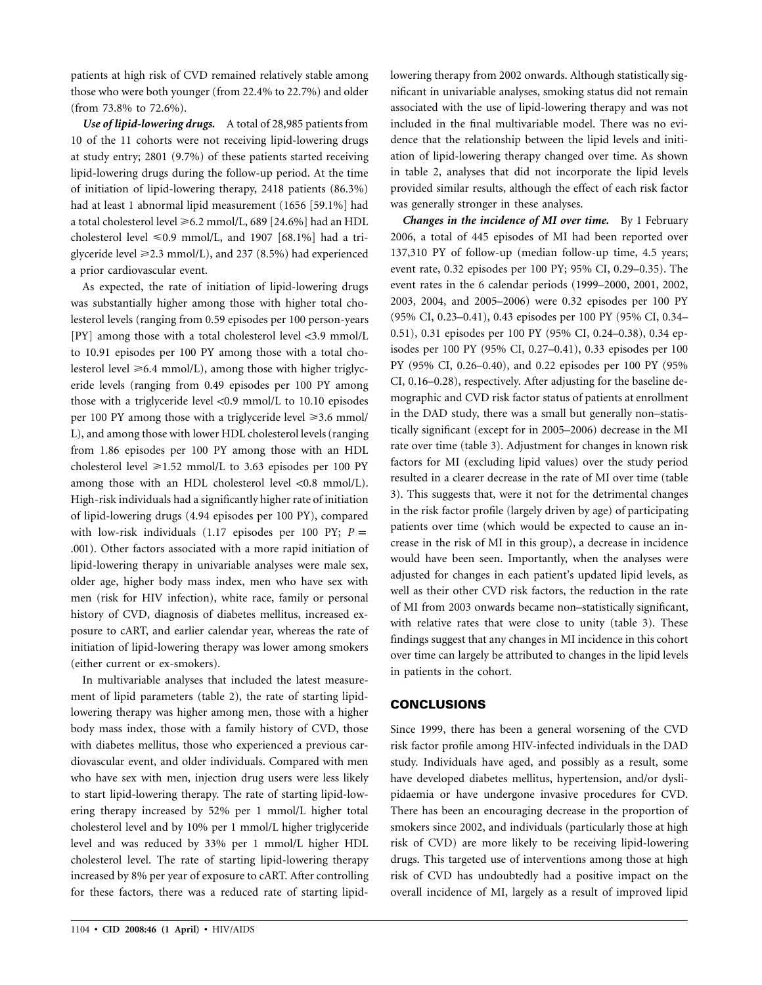patients at high risk of CVD remained relatively stable among those who were both younger (from 22.4% to 22.7%) and older (from 73.8% to 72.6%).

*Use of lipid-lowering drugs.* A total of 28,985 patients from 10 of the 11 cohorts were not receiving lipid-lowering drugs at study entry; 2801 (9.7%) of these patients started receiving lipid-lowering drugs during the follow-up period. At the time of initiation of lipid-lowering therapy, 2418 patients (86.3%) had at least 1 abnormal lipid measurement (1656 [59.1%] had a total cholesterol level  $\geq 6.2$  mmol/L, 689 [24.6%] had an HDL cholesterol level  $\leq 0.9$  mmol/L, and 1907 [68.1%] had a triglyceride level  $\geq 2.3$  mmol/L), and 237 (8.5%) had experienced a prior cardiovascular event.

As expected, the rate of initiation of lipid-lowering drugs was substantially higher among those with higher total cholesterol levels (ranging from 0.59 episodes per 100 person-years [PY] among those with a total cholesterol level <3.9 mmol/L to 10.91 episodes per 100 PY among those with a total cholesterol level  $\geq 6.4$  mmol/L), among those with higher triglyceride levels (ranging from 0.49 episodes per 100 PY among those with a triglyceride level  $<$ 0.9 mmol/L to 10.10 episodes per 100 PY among those with a triglyceride level  $\geq 3.6$  mmol/ L), and among those with lower HDL cholesterol levels (ranging from 1.86 episodes per 100 PY among those with an HDL cholesterol level  $\ge 1.52$  mmol/L to 3.63 episodes per 100 PY among those with an HDL cholesterol level  $< 0.8$  mmol/L). High-risk individuals had a significantly higher rate of initiation of lipid-lowering drugs (4.94 episodes per 100 PY), compared with low-risk individuals (1.17 episodes per 100 PY;  $P =$ .001). Other factors associated with a more rapid initiation of lipid-lowering therapy in univariable analyses were male sex, older age, higher body mass index, men who have sex with men (risk for HIV infection), white race, family or personal history of CVD, diagnosis of diabetes mellitus, increased exposure to cART, and earlier calendar year, whereas the rate of initiation of lipid-lowering therapy was lower among smokers (either current or ex-smokers).

In multivariable analyses that included the latest measurement of lipid parameters (table 2), the rate of starting lipidlowering therapy was higher among men, those with a higher body mass index, those with a family history of CVD, those with diabetes mellitus, those who experienced a previous cardiovascular event, and older individuals. Compared with men who have sex with men, injection drug users were less likely to start lipid-lowering therapy. The rate of starting lipid-lowering therapy increased by 52% per 1 mmol/L higher total cholesterol level and by 10% per 1 mmol/L higher triglyceride level and was reduced by 33% per 1 mmol/L higher HDL cholesterol level. The rate of starting lipid-lowering therapy increased by 8% per year of exposure to cART. After controlling for these factors, there was a reduced rate of starting lipidlowering therapy from 2002 onwards. Although statistically significant in univariable analyses, smoking status did not remain associated with the use of lipid-lowering therapy and was not included in the final multivariable model. There was no evidence that the relationship between the lipid levels and initiation of lipid-lowering therapy changed over time. As shown in table 2, analyses that did not incorporate the lipid levels provided similar results, although the effect of each risk factor was generally stronger in these analyses.

*Changes in the incidence of MI over time.* By 1 February 2006, a total of 445 episodes of MI had been reported over 137,310 PY of follow-up (median follow-up time, 4.5 years; event rate, 0.32 episodes per 100 PY; 95% CI, 0.29–0.35). The event rates in the 6 calendar periods (1999–2000, 2001, 2002, 2003, 2004, and 2005–2006) were 0.32 episodes per 100 PY (95% CI, 0.23–0.41), 0.43 episodes per 100 PY (95% CI, 0.34– 0.51), 0.31 episodes per 100 PY (95% CI, 0.24–0.38), 0.34 episodes per 100 PY (95% CI, 0.27–0.41), 0.33 episodes per 100 PY (95% CI, 0.26–0.40), and 0.22 episodes per 100 PY (95% CI, 0.16–0.28), respectively. After adjusting for the baseline demographic and CVD risk factor status of patients at enrollment in the DAD study, there was a small but generally non–statistically significant (except for in 2005–2006) decrease in the MI rate over time (table 3). Adjustment for changes in known risk factors for MI (excluding lipid values) over the study period resulted in a clearer decrease in the rate of MI over time (table 3). This suggests that, were it not for the detrimental changes in the risk factor profile (largely driven by age) of participating patients over time (which would be expected to cause an increase in the risk of MI in this group), a decrease in incidence would have been seen. Importantly, when the analyses were adjusted for changes in each patient's updated lipid levels, as well as their other CVD risk factors, the reduction in the rate of MI from 2003 onwards became non–statistically significant, with relative rates that were close to unity (table 3). These findings suggest that any changes in MI incidence in this cohort over time can largely be attributed to changes in the lipid levels in patients in the cohort.

# **CONCLUSIONS**

Since 1999, there has been a general worsening of the CVD risk factor profile among HIV-infected individuals in the DAD study. Individuals have aged, and possibly as a result, some have developed diabetes mellitus, hypertension, and/or dyslipidaemia or have undergone invasive procedures for CVD. There has been an encouraging decrease in the proportion of smokers since 2002, and individuals (particularly those at high risk of CVD) are more likely to be receiving lipid-lowering drugs. This targeted use of interventions among those at high risk of CVD has undoubtedly had a positive impact on the overall incidence of MI, largely as a result of improved lipid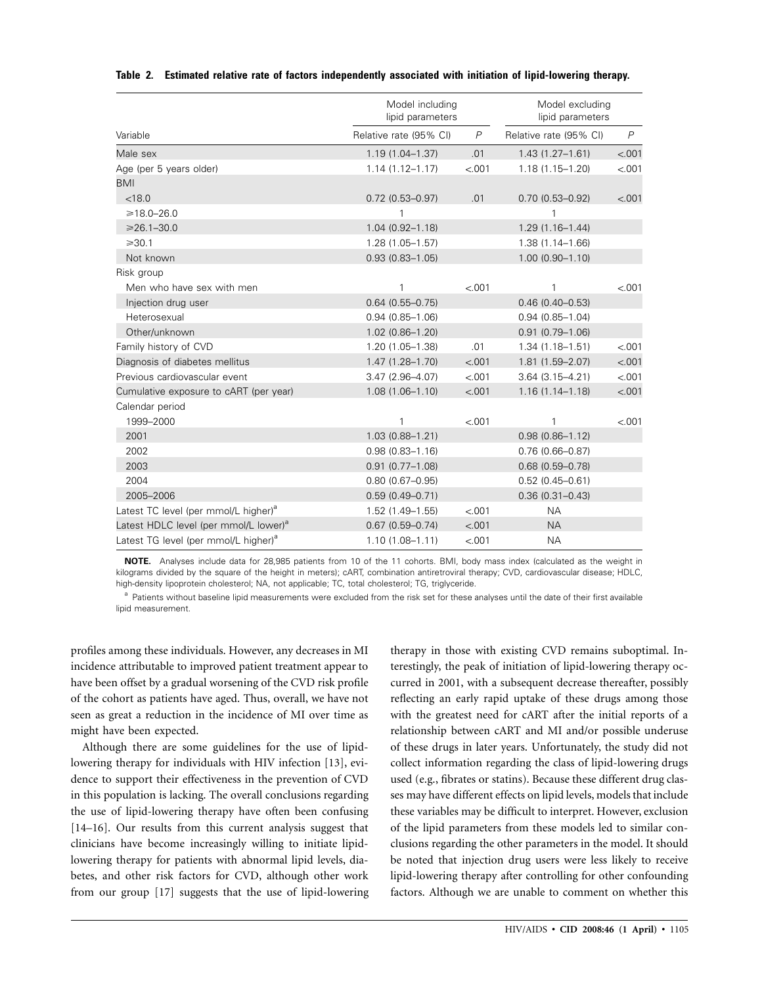|                                                 | Model including<br>lipid parameters | Model excluding<br>lipid parameters |                        |              |
|-------------------------------------------------|-------------------------------------|-------------------------------------|------------------------|--------------|
| Variable                                        | Relative rate (95% CI)              | $\mathcal{P}$                       | Relative rate (95% CI) | $\mathsf{P}$ |
| Male sex                                        | $1.19(1.04 - 1.37)$                 | .01                                 | $1.43(1.27 - 1.61)$    | < .001       |
| Age (per 5 years older)                         | $1.14(1.12 - 1.17)$                 | < .001                              | $1.18(1.15 - 1.20)$    | < .001       |
| <b>BMI</b>                                      |                                     |                                     |                        |              |
| < 18.0                                          | $0.72$ $(0.53 - 0.97)$              | .01                                 | $0.70(0.53 - 0.92)$    | < .001       |
| $\geq 18.0 - 26.0$                              |                                     |                                     |                        |              |
| $\ge 26.1 - 30.0$                               | $1.04(0.92 - 1.18)$                 |                                     | $1.29(1.16 - 1.44)$    |              |
| ≥30.1                                           | $1.28(1.05 - 1.57)$                 |                                     | $1.38(1.14 - 1.66)$    |              |
| Not known                                       | $0.93(0.83 - 1.05)$                 |                                     | $1.00(0.90 - 1.10)$    |              |
| Risk group                                      |                                     |                                     |                        |              |
| Men who have sex with men                       | 1                                   | < .001                              | 1                      | < 001        |
| Injection drug user                             | $0.64(0.55 - 0.75)$                 |                                     | $0.46(0.40 - 0.53)$    |              |
| Heterosexual                                    | $0.94(0.85 - 1.06)$                 |                                     | $0.94(0.85 - 1.04)$    |              |
| Other/unknown                                   | $1.02(0.86 - 1.20)$                 |                                     | $0.91(0.79 - 1.06)$    |              |
| Family history of CVD                           | $1.20(1.05 - 1.38)$                 | .01                                 | $1.34(1.18 - 1.51)$    | < .001       |
| Diagnosis of diabetes mellitus                  | $1.47(1.28 - 1.70)$                 | < .001                              | $1.81(1.59 - 2.07)$    | < .001       |
| Previous cardiovascular event                   | $3.47(2.96 - 4.07)$                 | < .001                              | $3.64(3.15 - 4.21)$    | < .001       |
| Cumulative exposure to cART (per year)          | $1.08(1.06 - 1.10)$                 | < .001                              | $1.16(1.14 - 1.18)$    | < .001       |
| Calendar period                                 |                                     |                                     |                        |              |
| 1999-2000                                       | 1                                   | < .001                              | 1                      | < .001       |
| 2001                                            | $1.03(0.88 - 1.21)$                 |                                     | $0.98(0.86 - 1.12)$    |              |
| 2002                                            | $0.98(0.83 - 1.16)$                 |                                     | $0.76(0.66 - 0.87)$    |              |
| 2003                                            | $0.91(0.77 - 1.08)$                 |                                     | $0.68$ $(0.59 - 0.78)$ |              |
| 2004                                            | $0.80(0.67 - 0.95)$                 |                                     | $0.52(0.45 - 0.61)$    |              |
| 2005-2006                                       | $0.59(0.49 - 0.71)$                 |                                     | $0.36(0.31 - 0.43)$    |              |
| atest TC level (per mmol/L higher) <sup>a</sup> | 1.52 (1.49-1.55)                    | < .001                              | NА                     |              |

**Table 2. Estimated relative rate of factors independently associated with initiation of lipid-lowering therapy.**

**NOTE.** Analyses include data for 28,985 patients from 10 of the 11 cohorts. BMI, body mass index (calculated as the weight in kilograms divided by the square of the height in meters); cART, combination antiretroviral therapy; CVD, cardiovascular disease; HDLC, high-density lipoprotein cholesterol; NA, not applicable; TC, total cholesterol; TG, triglyceride.

Latest HDLC level (per mmol/L lower)<sup>a</sup> 0.67 (0.59–0.74)  $\leq$  001 NA Latest TG level (per mmol/L higher)<sup>a</sup> 1.10 (1.08–1.11)  $\leq$  001 NA

a Patients without baseline lipid measurements were excluded from the risk set for these analyses until the date of their first available lipid measurement.

profiles among these individuals. However, any decreases in MI incidence attributable to improved patient treatment appear to have been offset by a gradual worsening of the CVD risk profile of the cohort as patients have aged. Thus, overall, we have not seen as great a reduction in the incidence of MI over time as might have been expected.

Although there are some guidelines for the use of lipidlowering therapy for individuals with HIV infection [13], evidence to support their effectiveness in the prevention of CVD in this population is lacking. The overall conclusions regarding the use of lipid-lowering therapy have often been confusing [14–16]. Our results from this current analysis suggest that clinicians have become increasingly willing to initiate lipidlowering therapy for patients with abnormal lipid levels, diabetes, and other risk factors for CVD, although other work from our group [17] suggests that the use of lipid-lowering therapy in those with existing CVD remains suboptimal. Interestingly, the peak of initiation of lipid-lowering therapy occurred in 2001, with a subsequent decrease thereafter, possibly reflecting an early rapid uptake of these drugs among those with the greatest need for cART after the initial reports of a relationship between cART and MI and/or possible underuse of these drugs in later years. Unfortunately, the study did not collect information regarding the class of lipid-lowering drugs used (e.g., fibrates or statins). Because these different drug classes may have different effects on lipid levels, models that include these variables may be difficult to interpret. However, exclusion of the lipid parameters from these models led to similar conclusions regarding the other parameters in the model. It should be noted that injection drug users were less likely to receive lipid-lowering therapy after controlling for other confounding factors. Although we are unable to comment on whether this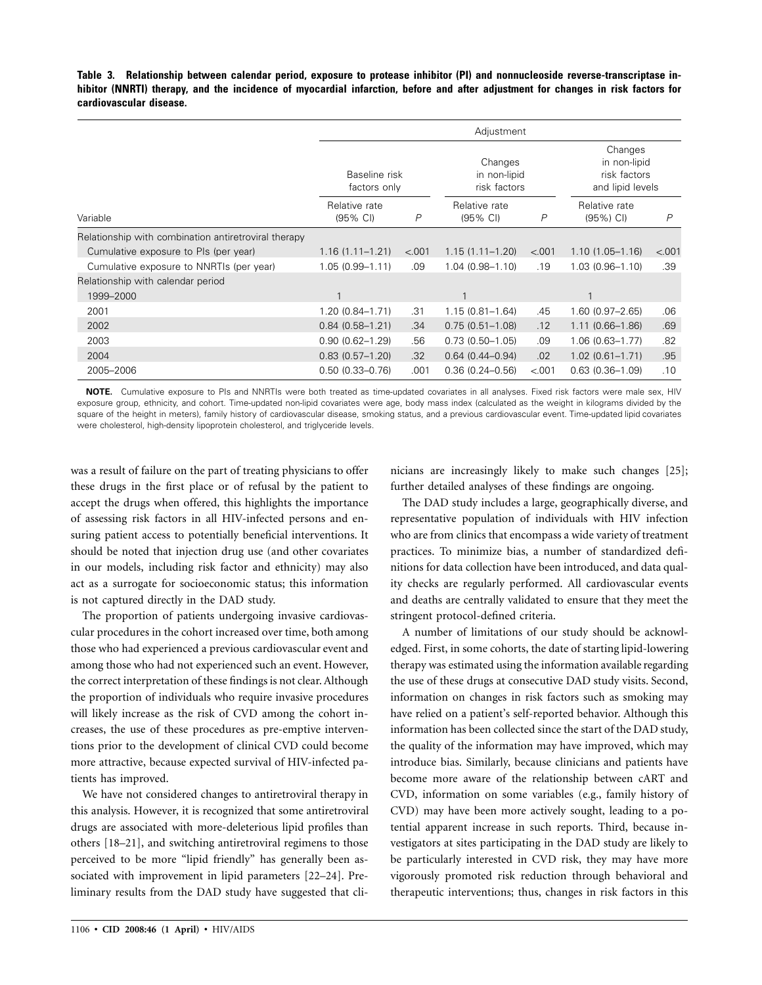**Table 3. Relationship between calendar period, exposure to protease inhibitor (PI) and nonnucleoside reverse-transcriptase inhibitor (NNRTI) therapy, and the incidence of myocardial infarction, before and after adjustment for changes in risk factors for cardiovascular disease.**

|                                                      | Adjustment                    |        |                                         |               |                                                             |        |  |
|------------------------------------------------------|-------------------------------|--------|-----------------------------------------|---------------|-------------------------------------------------------------|--------|--|
|                                                      | Baseline risk<br>factors only |        | Changes<br>in non-lipid<br>risk factors |               | Changes<br>in non-lipid<br>risk factors<br>and lipid levels |        |  |
| Variable                                             | Relative rate<br>(95% CI)     | P      | Relative rate<br>(95% CI)               | $\mathcal{P}$ | Relative rate<br>$(95\%)$ CI)                               | P      |  |
| Relationship with combination antiretroviral therapy |                               |        |                                         |               |                                                             |        |  |
| Cumulative exposure to PIs (per year)                | $1.16(1.11 - 1.21)$           | < .001 | $1.15(1.11 - 1.20)$                     | < .001        | $1.10(1.05 - 1.16)$                                         | < .001 |  |
| Cumulative exposure to NNRTIs (per year)             | $1.05(0.99 - 1.11)$           | .09    | $1.04(0.98 - 1.10)$                     | .19           | $1.03(0.96 - 1.10)$                                         | .39    |  |
| Relationship with calendar period                    |                               |        |                                         |               |                                                             |        |  |
| 1999-2000                                            | $\mathbf{1}$                  |        | 1                                       |               |                                                             |        |  |
| 2001                                                 | 1.20 (0.84-1.71)              | .31    | $1.15(0.81 - 1.64)$                     | .45           | $1.60(0.97 - 2.65)$                                         | .06    |  |
| 2002                                                 | $0.84(0.58 - 1.21)$           | .34    | $0.75(0.51 - 1.08)$                     | .12           | $1.11(0.66 - 1.86)$                                         | .69    |  |
| 2003                                                 | $0.90(0.62 - 1.29)$           | .56    | $0.73(0.50 - 1.05)$                     | .09           | $1.06(0.63 - 1.77)$                                         | .82    |  |
| 2004                                                 | $0.83(0.57 - 1.20)$           | .32    | $0.64(0.44 - 0.94)$                     | .02           | $1.02(0.61 - 1.71)$                                         | .95    |  |
| 2005-2006                                            | $0.50(0.33 - 0.76)$           | .001   | $0.36(0.24 - 0.56)$                     | < .001        | $0.63(0.36 - 1.09)$                                         | .10    |  |

**NOTE.** Cumulative exposure to PIs and NNRTIs were both treated as time-updated covariates in all analyses. Fixed risk factors were male sex, HIV exposure group, ethnicity, and cohort. Time-updated non-lipid covariates were age, body mass index (calculated as the weight in kilograms divided by the square of the height in meters), family history of cardiovascular disease, smoking status, and a previous cardiovascular event. Time-updated lipid covariates were cholesterol, high-density lipoprotein cholesterol, and triglyceride levels.

was a result of failure on the part of treating physicians to offer these drugs in the first place or of refusal by the patient to accept the drugs when offered, this highlights the importance of assessing risk factors in all HIV-infected persons and ensuring patient access to potentially beneficial interventions. It should be noted that injection drug use (and other covariates in our models, including risk factor and ethnicity) may also act as a surrogate for socioeconomic status; this information is not captured directly in the DAD study.

The proportion of patients undergoing invasive cardiovascular procedures in the cohort increased over time, both among those who had experienced a previous cardiovascular event and among those who had not experienced such an event. However, the correct interpretation of these findings is not clear. Although the proportion of individuals who require invasive procedures will likely increase as the risk of CVD among the cohort increases, the use of these procedures as pre-emptive interventions prior to the development of clinical CVD could become more attractive, because expected survival of HIV-infected patients has improved.

We have not considered changes to antiretroviral therapy in this analysis. However, it is recognized that some antiretroviral drugs are associated with more-deleterious lipid profiles than others [18–21], and switching antiretroviral regimens to those perceived to be more "lipid friendly" has generally been associated with improvement in lipid parameters [22–24]. Preliminary results from the DAD study have suggested that clinicians are increasingly likely to make such changes [25]; further detailed analyses of these findings are ongoing.

The DAD study includes a large, geographically diverse, and representative population of individuals with HIV infection who are from clinics that encompass a wide variety of treatment practices. To minimize bias, a number of standardized definitions for data collection have been introduced, and data quality checks are regularly performed. All cardiovascular events and deaths are centrally validated to ensure that they meet the stringent protocol-defined criteria.

A number of limitations of our study should be acknowledged. First, in some cohorts, the date of starting lipid-lowering therapy was estimated using the information available regarding the use of these drugs at consecutive DAD study visits. Second, information on changes in risk factors such as smoking may have relied on a patient's self-reported behavior. Although this information has been collected since the start of the DAD study, the quality of the information may have improved, which may introduce bias. Similarly, because clinicians and patients have become more aware of the relationship between cART and CVD, information on some variables (e.g., family history of CVD) may have been more actively sought, leading to a potential apparent increase in such reports. Third, because investigators at sites participating in the DAD study are likely to be particularly interested in CVD risk, they may have more vigorously promoted risk reduction through behavioral and therapeutic interventions; thus, changes in risk factors in this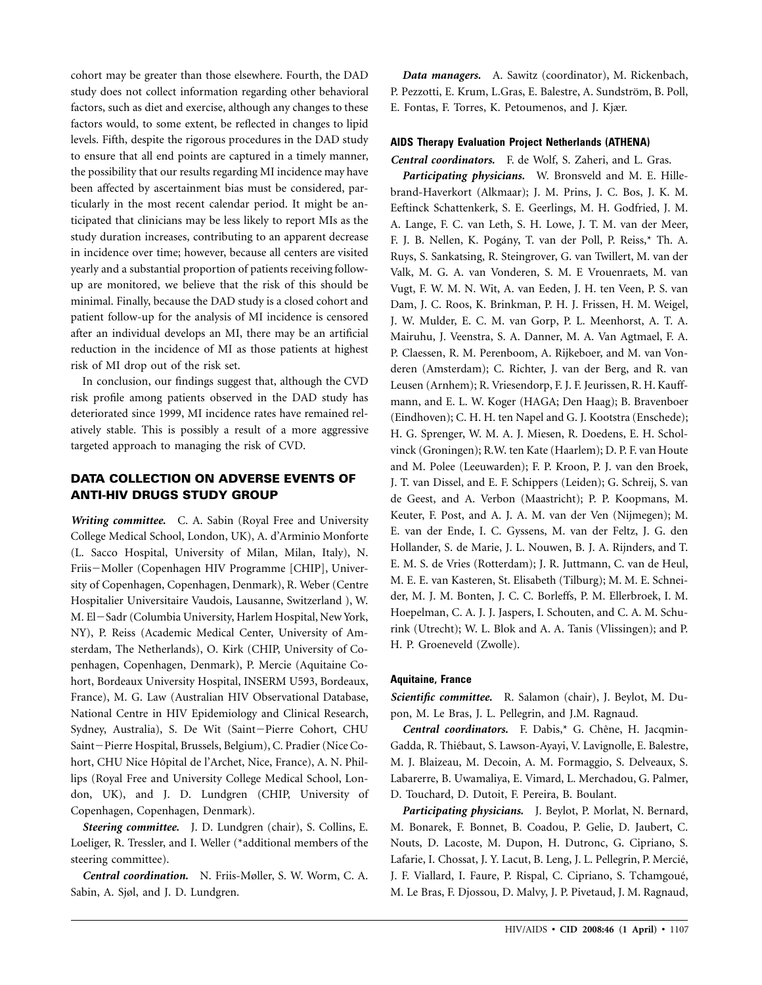cohort may be greater than those elsewhere. Fourth, the DAD study does not collect information regarding other behavioral factors, such as diet and exercise, although any changes to these factors would, to some extent, be reflected in changes to lipid levels. Fifth, despite the rigorous procedures in the DAD study to ensure that all end points are captured in a timely manner, the possibility that our results regarding MI incidence may have been affected by ascertainment bias must be considered, particularly in the most recent calendar period. It might be anticipated that clinicians may be less likely to report MIs as the study duration increases, contributing to an apparent decrease in incidence over time; however, because all centers are visited yearly and a substantial proportion of patients receiving followup are monitored, we believe that the risk of this should be minimal. Finally, because the DAD study is a closed cohort and patient follow-up for the analysis of MI incidence is censored after an individual develops an MI, there may be an artificial reduction in the incidence of MI as those patients at highest risk of MI drop out of the risk set.

In conclusion, our findings suggest that, although the CVD risk profile among patients observed in the DAD study has deteriorated since 1999, MI incidence rates have remained relatively stable. This is possibly a result of a more aggressive targeted approach to managing the risk of CVD.

# **DATA COLLECTION ON ADVERSE EVENTS OF ANTI-HIV DRUGS STUDY GROUP**

*Writing committee.* C. A. Sabin (Royal Free and University College Medical School, London, UK), A. d'Arminio Monforte (L. Sacco Hospital, University of Milan, Milan, Italy), N. Friis-Moller (Copenhagen HIV Programme [CHIP], University of Copenhagen, Copenhagen, Denmark), R. Weber (Centre Hospitalier Universitaire Vaudois, Lausanne, Switzerland ), W. M. El-Sadr (Columbia University, Harlem Hospital, New York, NY), P. Reiss (Academic Medical Center, University of Amsterdam, The Netherlands), O. Kirk (CHIP, University of Copenhagen, Copenhagen, Denmark), P. Mercie (Aquitaine Cohort, Bordeaux University Hospital, INSERM U593, Bordeaux, France), M. G. Law (Australian HIV Observational Database, National Centre in HIV Epidemiology and Clinical Research, Sydney, Australia), S. De Wit (Saint-Pierre Cohort, CHU Saint-Pierre Hospital, Brussels, Belgium), C. Pradier (Nice Cohort, CHU Nice Hôpital de l'Archet, Nice, France), A. N. Phillips (Royal Free and University College Medical School, London, UK), and J. D. Lundgren (CHIP, University of Copenhagen, Copenhagen, Denmark).

*Steering committee.* J. D. Lundgren (chair), S. Collins, E. Loeliger, R. Tressler, and I. Weller (\*additional members of the steering committee).

*Central coordination.* N. Friis-Møller, S. W. Worm, C. A. Sabin, A. Sjøl, and J. D. Lundgren.

*Data managers.* A. Sawitz (coordinator), M. Rickenbach, P. Pezzotti, E. Krum, L.Gras, E. Balestre, A. Sundström, B. Poll, E. Fontas, F. Torres, K. Petoumenos, and J. Kjær.

## **AIDS Therapy Evaluation Project Netherlands (ATHENA)**

*Central coordinators.* F. de Wolf, S. Zaheri, and L. Gras. *Participating physicians.* W. Bronsveld and M. E. Hillebrand-Haverkort (Alkmaar); J. M. Prins, J. C. Bos, J. K. M. Eeftinck Schattenkerk, S. E. Geerlings, M. H. Godfried, J. M. A. Lange, F. C. van Leth, S. H. Lowe, J. T. M. van der Meer, F. J. B. Nellen, K. Pogány, T. van der Poll, P. Reiss,\* Th. A. Ruys, S. Sankatsing, R. Steingrover, G. van Twillert, M. van der Valk, M. G. A. van Vonderen, S. M. E Vrouenraets, M. van Vugt, F. W. M. N. Wit, A. van Eeden, J. H. ten Veen, P. S. van Dam, J. C. Roos, K. Brinkman, P. H. J. Frissen, H. M. Weigel, J. W. Mulder, E. C. M. van Gorp, P. L. Meenhorst, A. T. A. Mairuhu, J. Veenstra, S. A. Danner, M. A. Van Agtmael, F. A. P. Claessen, R. M. Perenboom, A. Rijkeboer, and M. van Vonderen (Amsterdam); C. Richter, J. van der Berg, and R. van Leusen (Arnhem); R. Vriesendorp, F. J. F. Jeurissen, R. H. Kauffmann, and E. L. W. Koger (HAGA; Den Haag); B. Bravenboer (Eindhoven); C. H. H. ten Napel and G. J. Kootstra (Enschede); H. G. Sprenger, W. M. A. J. Miesen, R. Doedens, E. H. Scholvinck (Groningen); R.W. ten Kate (Haarlem); D. P. F. van Houte and M. Polee (Leeuwarden); F. P. Kroon, P. J. van den Broek, J. T. van Dissel, and E. F. Schippers (Leiden); G. Schreij, S. van de Geest, and A. Verbon (Maastricht); P. P. Koopmans, M. Keuter, F. Post, and A. J. A. M. van der Ven (Nijmegen); M. E. van der Ende, I. C. Gyssens, M. van der Feltz, J. G. den Hollander, S. de Marie, J. L. Nouwen, B. J. A. Rijnders, and T. E. M. S. de Vries (Rotterdam); J. R. Juttmann, C. van de Heul, M. E. E. van Kasteren, St. Elisabeth (Tilburg); M. M. E. Schneider, M. J. M. Bonten, J. C. C. Borleffs, P. M. Ellerbroek, I. M. Hoepelman, C. A. J. J. Jaspers, I. Schouten, and C. A. M. Schurink (Utrecht); W. L. Blok and A. A. Tanis (Vlissingen); and P. H. P. Groeneveld (Zwolle).

## **Aquitaine, France**

*Scientific committee.* R. Salamon (chair), J. Beylot, M. Dupon, M. Le Bras, J. L. Pellegrin, and J.M. Ragnaud.

Central coordinators. F. Dabis,\* G. Chêne, H. Jacqmin-Gadda, R. Thiébaut, S. Lawson-Ayayi, V. Lavignolle, E. Balestre, M. J. Blaizeau, M. Decoin, A. M. Formaggio, S. Delveaux, S. Labarerre, B. Uwamaliya, E. Vimard, L. Merchadou, G. Palmer, D. Touchard, D. Dutoit, F. Pereira, B. Boulant.

*Participating physicians.* J. Beylot, P. Morlat, N. Bernard, M. Bonarek, F. Bonnet, B. Coadou, P. Gelie, D. Jaubert, C. Nouts, D. Lacoste, M. Dupon, H. Dutronc, G. Cipriano, S. Lafarie, I. Chossat, J. Y. Lacut, B. Leng, J. L. Pellegrin, P. Mercié, J. F. Viallard, I. Faure, P. Rispal, C. Cipriano, S. Tchamgoué, M. Le Bras, F. Djossou, D. Malvy, J. P. Pivetaud, J. M. Ragnaud,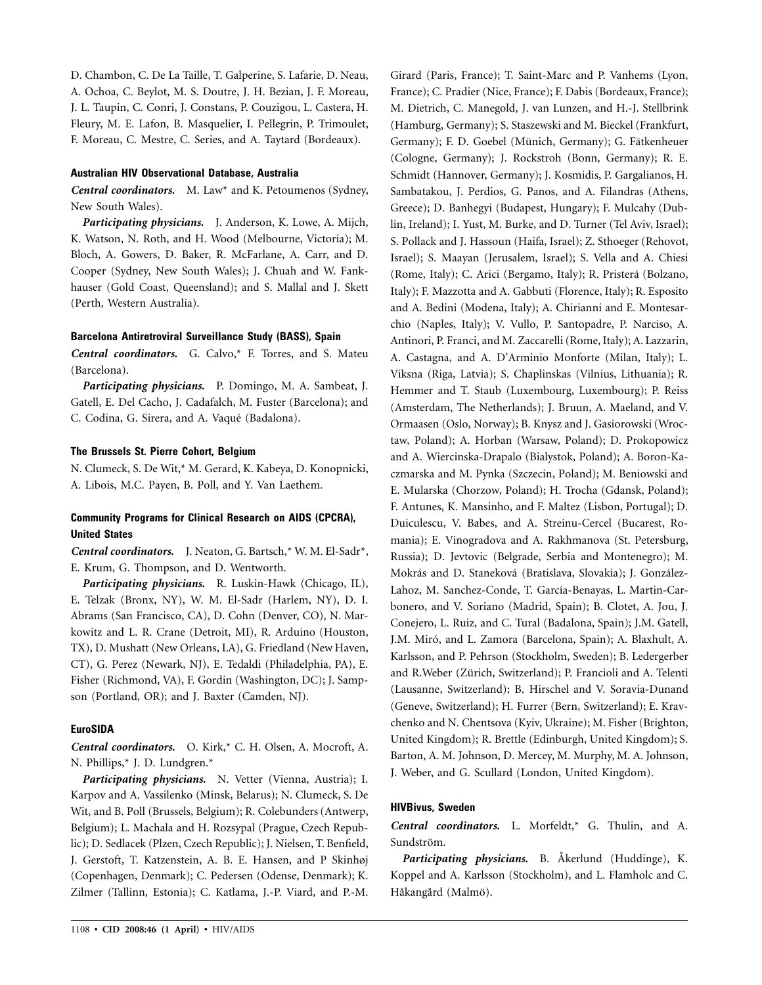D. Chambon, C. De La Taille, T. Galperine, S. Lafarie, D. Neau, A. Ochoa, C. Beylot, M. S. Doutre, J. H. Bezian, J. F. Moreau, J. L. Taupin, C. Conri, J. Constans, P. Couzigou, L. Castera, H. Fleury, M. E. Lafon, B. Masquelier, I. Pellegrin, P. Trimoulet, F. Moreau, C. Mestre, C. Series, and A. Taytard (Bordeaux).

## **Australian HIV Observational Database, Australia**

*Central coordinators.* M. Law\* and K. Petoumenos (Sydney, New South Wales).

*Participating physicians.* J. Anderson, K. Lowe, A. Mijch, K. Watson, N. Roth, and H. Wood (Melbourne, Victoria); M. Bloch, A. Gowers, D. Baker, R. McFarlane, A. Carr, and D. Cooper (Sydney, New South Wales); J. Chuah and W. Fankhauser (Gold Coast, Queensland); and S. Mallal and J. Skett (Perth, Western Australia).

## **Barcelona Antiretroviral Surveillance Study (BASS), Spain**

*Central coordinators.* G. Calvo,\* F. Torres, and S. Mateu (Barcelona).

*Participating physicians.* P. Domingo, M. A. Sambeat, J. Gatell, E. Del Cacho, J. Cadafalch, M. Fuster (Barcelona); and C. Codina, G. Sirera, and A. Vaqué (Badalona).

## **The Brussels St. Pierre Cohort, Belgium**

N. Clumeck, S. De Wit,\* M. Gerard, K. Kabeya, D. Konopnicki, A. Libois, M.C. Payen, B. Poll, and Y. Van Laethem.

# **Community Programs for Clinical Research on AIDS (CPCRA), United States**

*Central coordinators.* J. Neaton, G. Bartsch,\* W. M. El-Sadr\*, E. Krum, G. Thompson, and D. Wentworth.

*Participating physicians.* R. Luskin-Hawk (Chicago, IL), E. Telzak (Bronx, NY), W. M. El-Sadr (Harlem, NY), D. I. Abrams (San Francisco, CA), D. Cohn (Denver, CO), N. Markowitz and L. R. Crane (Detroit, MI), R. Arduino (Houston, TX), D. Mushatt (New Orleans, LA), G. Friedland (New Haven, CT), G. Perez (Newark, NJ), E. Tedaldi (Philadelphia, PA), E. Fisher (Richmond, VA), F. Gordin (Washington, DC); J. Sampson (Portland, OR); and J. Baxter (Camden, NJ).

# **EuroSIDA**

*Central coordinators.* O. Kirk,\* C. H. Olsen, A. Mocroft, A. N. Phillips,\* J. D. Lundgren.\*

*Participating physicians.* N. Vetter (Vienna, Austria); I. Karpov and A. Vassilenko (Minsk, Belarus); N. Clumeck, S. De Wit, and B. Poll (Brussels, Belgium); R. Colebunders (Antwerp, Belgium); L. Machala and H. Rozsypal (Prague, Czech Republic); D. Sedlacek (Plzen, Czech Republic); J. Nielsen, T. Benfield, J. Gerstoft, T. Katzenstein, A. B. E. Hansen, and P Skinhøj (Copenhagen, Denmark); C. Pedersen (Odense, Denmark); K. Zilmer (Tallinn, Estonia); C. Katlama, J.-P. Viard, and P.-M.

1108 • **CID 2008:46 (1 April)** • HIV/AIDS

Girard (Paris, France); T. Saint-Marc and P. Vanhems (Lyon, France); C. Pradier (Nice, France); F. Dabis (Bordeaux, France); M. Dietrich, C. Manegold, J. van Lunzen, and H.-J. Stellbrink (Hamburg, Germany); S. Staszewski and M. Bieckel (Frankfurt, Germany); F. D. Goebel (Münich, Germany); G. Fätkenheuer (Cologne, Germany); J. Rockstroh (Bonn, Germany); R. E. Schmidt (Hannover, Germany); J. Kosmidis, P. Gargalianos, H. Sambatakou, J. Perdios, G. Panos, and A. Filandras (Athens, Greece); D. Banhegyi (Budapest, Hungary); F. Mulcahy (Dublin, Ireland); I. Yust, M. Burke, and D. Turner (Tel Aviv, Israel); S. Pollack and J. Hassoun (Haifa, Israel); Z. Sthoeger (Rehovot, Israel); S. Maayan (Jerusalem, Israel); S. Vella and A. Chiesi (Rome, Italy); C. Arici (Bergamo, Italy); R. Pristerá (Bolzano, Italy); F. Mazzotta and A. Gabbuti (Florence, Italy); R. Esposito and A. Bedini (Modena, Italy); A. Chirianni and E. Montesarchio (Naples, Italy); V. Vullo, P. Santopadre, P. Narciso, A. Antinori, P. Franci, and M. Zaccarelli (Rome, Italy); A. Lazzarin, A. Castagna, and A. D'Arminio Monforte (Milan, Italy); L. Viksna (Riga, Latvia); S. Chaplinskas (Vilnius, Lithuania); R. Hemmer and T. Staub (Luxembourg, Luxembourg); P. Reiss (Amsterdam, The Netherlands); J. Bruun, A. Maeland, and V. Ormaasen (Oslo, Norway); B. Knysz and J. Gasiorowski (Wroctaw, Poland); A. Horban (Warsaw, Poland); D. Prokopowicz and A. Wiercinska-Drapalo (Bialystok, Poland); A. Boron-Kaczmarska and M. Pynka (Szczecin, Poland); M. Beniowski and E. Mularska (Chorzow, Poland); H. Trocha (Gdansk, Poland); F. Antunes, K. Mansinho, and F. Maltez (Lisbon, Portugal); D. Duiculescu, V. Babes, and A. Streinu-Cercel (Bucarest, Romania); E. Vinogradova and A. Rakhmanova (St. Petersburg, Russia); D. Jevtovic (Belgrade, Serbia and Montenegro); M. Mokrás and D. Staneková (Bratislava, Slovakia); J. González-Lahoz, M. Sanchez-Conde, T. García-Benayas, L. Martin-Carbonero, and V. Soriano (Madrid, Spain); B. Clotet, A. Jou, J. Conejero, L. Ruiz, and C. Tural (Badalona, Spain); J.M. Gatell, J.M. Miró, and L. Zamora (Barcelona, Spain); A. Blaxhult, A. Karlsson, and P. Pehrson (Stockholm, Sweden); B. Ledergerber and R.Weber (Zürich, Switzerland); P. Francioli and A. Telenti (Lausanne, Switzerland); B. Hirschel and V. Soravia-Dunand (Geneve, Switzerland); H. Furrer (Bern, Switzerland); E. Kravchenko and N. Chentsova (Kyiv, Ukraine); M. Fisher (Brighton, United Kingdom); R. Brettle (Edinburgh, United Kingdom); S. Barton, A. M. Johnson, D. Mercey, M. Murphy, M. A. Johnson, J. Weber, and G. Scullard (London, United Kingdom).

# **HIVBivus, Sweden**

*Central coordinators.* L. Morfeldt,\* G. Thulin, and A. Sundström.

Participating physicians. B. Åkerlund (Huddinge), K. Koppel and A. Karlsson (Stockholm), and L. Flamholc and C. Håkangård (Malmö).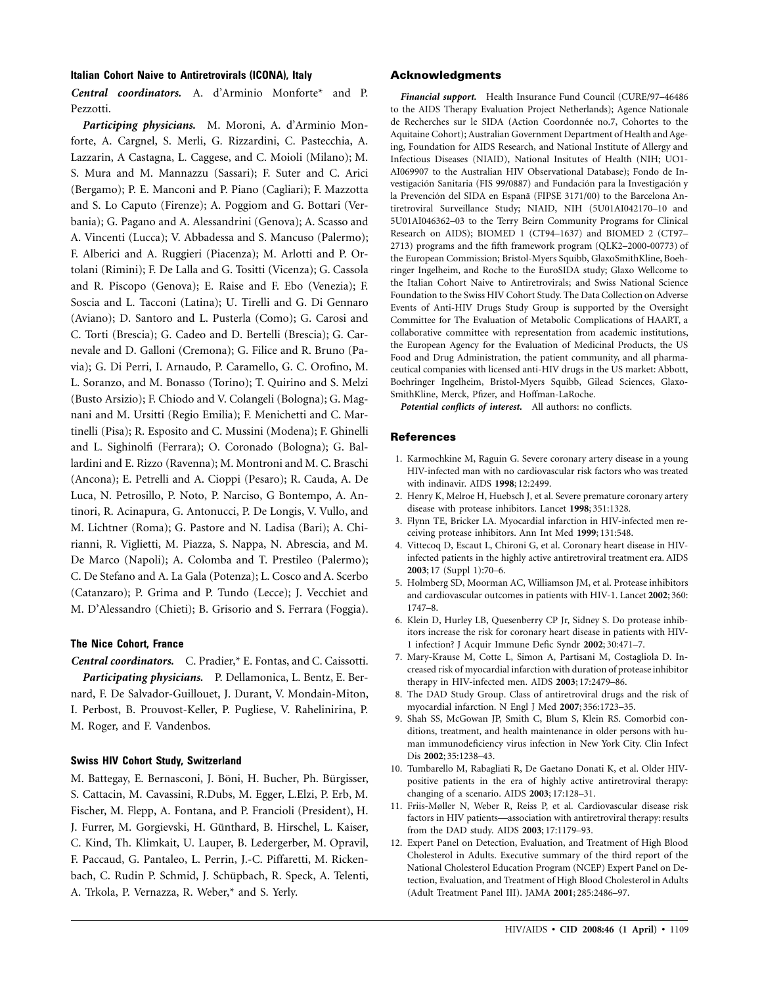#### **Italian Cohort Naive to Antiretrovirals (ICONA), Italy**

*Central coordinators.* A. d'Arminio Monforte\* and P. Pezzotti.

*Participing physicians.* M. Moroni, A. d'Arminio Monforte, A. Cargnel, S. Merli, G. Rizzardini, C. Pastecchia, A. Lazzarin, A Castagna, L. Caggese, and C. Moioli (Milano); M. S. Mura and M. Mannazzu (Sassari); F. Suter and C. Arici (Bergamo); P. E. Manconi and P. Piano (Cagliari); F. Mazzotta and S. Lo Caputo (Firenze); A. Poggiom and G. Bottari (Verbania); G. Pagano and A. Alessandrini (Genova); A. Scasso and A. Vincenti (Lucca); V. Abbadessa and S. Mancuso (Palermo); F. Alberici and A. Ruggieri (Piacenza); M. Arlotti and P. Ortolani (Rimini); F. De Lalla and G. Tositti (Vicenza); G. Cassola and R. Piscopo (Genova); E. Raise and F. Ebo (Venezia); F. Soscia and L. Tacconi (Latina); U. Tirelli and G. Di Gennaro (Aviano); D. Santoro and L. Pusterla (Como); G. Carosi and C. Torti (Brescia); G. Cadeo and D. Bertelli (Brescia); G. Carnevale and D. Galloni (Cremona); G. Filice and R. Bruno (Pavia); G. Di Perri, I. Arnaudo, P. Caramello, G. C. Orofino, M. L. Soranzo, and M. Bonasso (Torino); T. Quirino and S. Melzi (Busto Arsizio); F. Chiodo and V. Colangeli (Bologna); G. Magnani and M. Ursitti (Regio Emilia); F. Menichetti and C. Martinelli (Pisa); R. Esposito and C. Mussini (Modena); F. Ghinelli and L. Sighinolfi (Ferrara); O. Coronado (Bologna); G. Ballardini and E. Rizzo (Ravenna); M. Montroni and M. C. Braschi (Ancona); E. Petrelli and A. Cioppi (Pesaro); R. Cauda, A. De Luca, N. Petrosillo, P. Noto, P. Narciso, G Bontempo, A. Antinori, R. Acinapura, G. Antonucci, P. De Longis, V. Vullo, and M. Lichtner (Roma); G. Pastore and N. Ladisa (Bari); A. Chirianni, R. Viglietti, M. Piazza, S. Nappa, N. Abrescia, and M. De Marco (Napoli); A. Colomba and T. Prestileo (Palermo); C. De Stefano and A. La Gala (Potenza); L. Cosco and A. Scerbo (Catanzaro); P. Grima and P. Tundo (Lecce); J. Vecchiet and M. D'Alessandro (Chieti); B. Grisorio and S. Ferrara (Foggia).

#### **The Nice Cohort, France**

*Central coordinators.* C. Pradier,\* E. Fontas, and C. Caissotti. *Participating physicians.* P. Dellamonica, L. Bentz, E. Bernard, F. De Salvador-Guillouet, J. Durant, V. Mondain-Miton, I. Perbost, B. Prouvost-Keller, P. Pugliese, V. Rahelinirina, P. M. Roger, and F. Vandenbos.

#### **Swiss HIV Cohort Study, Switzerland**

M. Battegay, E. Bernasconi, J. Böni, H. Bucher, Ph. Bürgisser, S. Cattacin, M. Cavassini, R.Dubs, M. Egger, L.Elzi, P. Erb, M. Fischer, M. Flepp, A. Fontana, and P. Francioli (President), H. J. Furrer, M. Gorgievski, H. Günthard, B. Hirschel, L. Kaiser, C. Kind, Th. Klimkait, U. Lauper, B. Ledergerber, M. Opravil, F. Paccaud, G. Pantaleo, L. Perrin, J.-C. Piffaretti, M. Rickenbach, C. Rudin P. Schmid, J. Schüpbach, R. Speck, A. Telenti, A. Trkola, P. Vernazza, R. Weber,\* and S. Yerly.

#### **Acknowledgments**

*Financial support.* Health Insurance Fund Council (CURE/97–46486 to the AIDS Therapy Evaluation Project Netherlands); Agence Nationale de Recherches sur le SIDA (Action Coordonnée no.7, Cohortes to the Aquitaine Cohort); Australian Government Department of Health and Ageing, Foundation for AIDS Research, and National Institute of Allergy and Infectious Diseases (NIAID), National Insitutes of Health (NIH; UO1- AI069907 to the Australian HIV Observational Database); Fondo de Investigación Sanitaria (FIS 99/0887) and Fundación para la Investigación y la Prevención del SIDA en Espanã (FIPSE 3171/00) to the Barcelona Antiretroviral Surveillance Study; NIAID, NIH (5U01AI042170–10 and 5U01AI046362–03 to the Terry Beirn Community Programs for Clinical Research on AIDS); BIOMED 1 (CT94–1637) and BIOMED 2 (CT97– 2713) programs and the fifth framework program (QLK2–2000-00773) of the European Commission; Bristol-Myers Squibb, GlaxoSmithKline, Boehringer Ingelheim, and Roche to the EuroSIDA study; Glaxo Wellcome to the Italian Cohort Naive to Antiretrovirals; and Swiss National Science Foundation to the Swiss HIV Cohort Study. The Data Collection on Adverse Events of Anti-HIV Drugs Study Group is supported by the Oversight Committee for The Evaluation of Metabolic Complications of HAART, a collaborative committee with representation from academic institutions, the European Agency for the Evaluation of Medicinal Products, the US Food and Drug Administration, the patient community, and all pharmaceutical companies with licensed anti-HIV drugs in the US market: Abbott, Boehringer Ingelheim, Bristol-Myers Squibb, Gilead Sciences, Glaxo-SmithKline, Merck, Pfizer, and Hoffman-LaRoche.

*Potential conflicts of interest.* All authors: no conflicts.

#### **References**

- 1. Karmochkine M, Raguin G. Severe coronary artery disease in a young HIV-infected man with no cardiovascular risk factors who was treated with indinavir. AIDS **1998**; 12:2499.
- 2. Henry K, Melroe H, Huebsch J, et al. Severe premature coronary artery disease with protease inhibitors. Lancet **1998**; 351:1328.
- 3. Flynn TE, Bricker LA. Myocardial infarction in HIV-infected men receiving protease inhibitors. Ann Int Med **1999**; 131:548.
- 4. Vittecoq D, Escaut L, Chironi G, et al. Coronary heart disease in HIVinfected patients in the highly active antiretroviral treatment era. AIDS **2003**; 17 (Suppl 1):70–6.
- 5. Holmberg SD, Moorman AC, Williamson JM, et al. Protease inhibitors and cardiovascular outcomes in patients with HIV-1. Lancet **2002**; 360: 1747–8.
- 6. Klein D, Hurley LB, Quesenberry CP Jr, Sidney S. Do protease inhibitors increase the risk for coronary heart disease in patients with HIV-1 infection? J Acquir Immune Defic Syndr **2002**; 30:471–7.
- 7. Mary-Krause M, Cotte L, Simon A, Partisani M, Costagliola D. Increased risk of myocardial infarction with duration of protease inhibitor therapy in HIV-infected men. AIDS **2003**; 17:2479–86.
- 8. The DAD Study Group. Class of antiretroviral drugs and the risk of myocardial infarction. N Engl J Med **2007**; 356:1723–35.
- 9. Shah SS, McGowan JP, Smith C, Blum S, Klein RS. Comorbid conditions, treatment, and health maintenance in older persons with human immunodeficiency virus infection in New York City. Clin Infect Dis **2002**; 35:1238–43.
- 10. Tumbarello M, Rabagliati R, De Gaetano Donati K, et al. Older HIVpositive patients in the era of highly active antiretroviral therapy: changing of a scenario. AIDS **2003**; 17:128–31.
- 11. Friis-Møller N, Weber R, Reiss P, et al. Cardiovascular disease risk factors in HIV patients—association with antiretroviral therapy: results from the DAD study. AIDS **2003**; 17:1179–93.
- 12. Expert Panel on Detection, Evaluation, and Treatment of High Blood Cholesterol in Adults. Executive summary of the third report of the National Cholesterol Education Program (NCEP) Expert Panel on Detection, Evaluation, and Treatment of High Blood Cholesterol in Adults (Adult Treatment Panel III). JAMA **2001**; 285:2486–97.